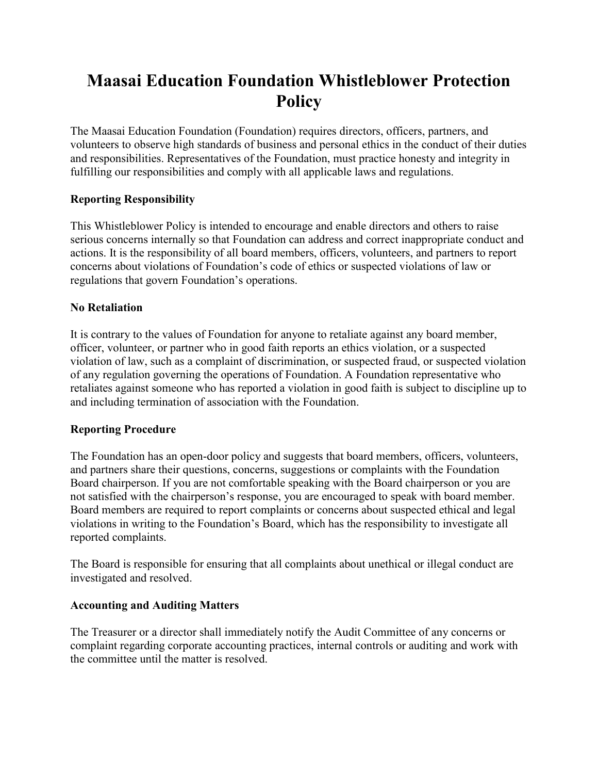# **Maasai Education Foundation Whistleblower Protection Policy**

The Maasai Education Foundation (Foundation) requires directors, officers, partners, and volunteers to observe high standards of business and personal ethics in the conduct of their duties and responsibilities. Representatives of the Foundation, must practice honesty and integrity in fulfilling our responsibilities and comply with all applicable laws and regulations.

# **Reporting Responsibility**

This Whistleblower Policy is intended to encourage and enable directors and others to raise serious concerns internally so that Foundation can address and correct inappropriate conduct and actions. It is the responsibility of all board members, officers, volunteers, and partners to report concerns about violations of Foundation's code of ethics or suspected violations of law or regulations that govern Foundation's operations.

# **No Retaliation**

It is contrary to the values of Foundation for anyone to retaliate against any board member, officer, volunteer, or partner who in good faith reports an ethics violation, or a suspected violation of law, such as a complaint of discrimination, or suspected fraud, or suspected violation of any regulation governing the operations of Foundation. A Foundation representative who retaliates against someone who has reported a violation in good faith is subject to discipline up to and including termination of association with the Foundation.

## **Reporting Procedure**

The Foundation has an open-door policy and suggests that board members, officers, volunteers, and partners share their questions, concerns, suggestions or complaints with the Foundation Board chairperson. If you are not comfortable speaking with the Board chairperson or you are not satisfied with the chairperson's response, you are encouraged to speak with board member. Board members are required to report complaints or concerns about suspected ethical and legal violations in writing to the Foundation's Board, which has the responsibility to investigate all reported complaints.

The Board is responsible for ensuring that all complaints about unethical or illegal conduct are investigated and resolved.

## **Accounting and Auditing Matters**

The Treasurer or a director shall immediately notify the Audit Committee of any concerns or complaint regarding corporate accounting practices, internal controls or auditing and work with the committee until the matter is resolved.